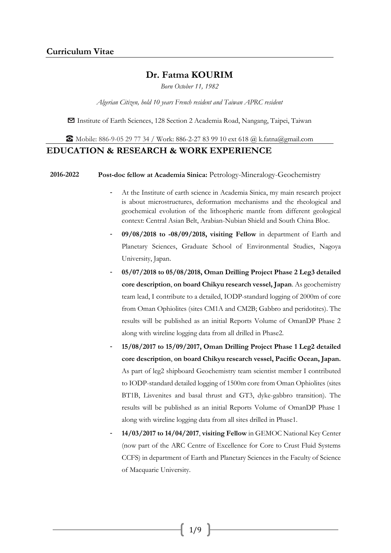## **Dr. Fatma KOURIM**

*Born October 11, 1982*

*Algerian Citizen, hold 10 years French resident and Taiwan APRC resident*

✉ Institute of Earth Sciences, 128 Section 2 Academia Road, Nangang, Taipei, Taiwan

☎ Mobile: 886-9-05 29 77 34 / Work: 886-2-27 83 99 10 ext 618 @ [k.fatna@gmail.com](mailto:k.fatna@gmail.com)

### **EDUCATION & RESEARCH & WORK EXPERIENCE**

**2016-2022 Post-doc fellow at Academia Sinica:** Petrology-Mineralogy-Geochemistry

- At the Institute of earth science in Academia Sinica, my main research project is about microstructures, deformation mechanisms and the rheological and geochemical evolution of the lithospheric mantle from different geological context: Central Asian Belt, Arabian-Nubian Shield and South China Bloc.
- **09/08/2018 to -08/09/2018, visiting Fellow** in department of Earth and Planetary Sciences, Graduate School of Environmental Studies, Nagoya University, Japan.
- **05/07/2018 to 05/08/2018, Oman Drilling Project Phase 2 Leg3 detailed core description**, **on board Chikyu research vessel, Japan**. As geochemistry team lead, I contribute to a detailed, IODP-standard logging of 2000m of core from Oman Ophiolites (sites CM1A and CM2B; Gabbro and peridotites). The results will be published as an initial Reports Volume of OmanDP Phase 2 along with wireline logging data from all drilled in Phase2.
- **15/08/2017 to 15/09/2017, Oman Drilling Project Phase 1 Leg2 detailed core description**, **on board Chikyu research vessel, Pacific Ocean, Japan.**  As part of leg2 shipboard Geochemistry team scientist member I contributed to IODP-standard detailed logging of 1500m core from Oman Ophiolites (sites BT1B, Lisvenites and basal thrust and GT3, dyke-gabbro transition). The results will be published as an initial Reports Volume of OmanDP Phase 1 along with wireline logging data from all sites drilled in Phase1.
- **14/03/2017 to 14/04/2017**, **visiting Fellow** in GEMOC National Key Center (now part of the ARC Centre of Excellence for Core to Crust Fluid Systems CCFS) in department of Earth and Planetary Sciences in the Faculty of Science of Macquarie University.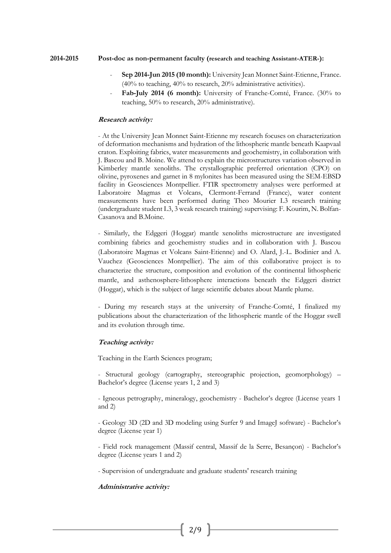#### **2014-2015 Post-doc as non-permanent faculty (research and teaching Assistant-ATER-):**

- **Sep 2014-Jun 2015 (10 month):** University Jean Monnet Saint-Etienne, France. (40% to teaching, 40% to research, 20% administrative activities).
- Fab-July 2014 (6 month): University of Franche-Comté, France. (30% to teaching, 50% to research, 20% administrative).

#### **Research activity:**

- At the University Jean Monnet Saint-Etienne my research focuses on characterization of deformation mechanisms and hydration of the lithospheric mantle beneath Kaapvaal craton. Exploiting fabrics, water measurements and geochemistry, in collaboration with J. Bascou and B. Moine. We attend to explain the microstructures variation observed in Kimberley mantle xenoliths. The crystallographic preferred orientation (CPO) on olivine, pyroxenes and garnet in 8 mylonites has been measured using the SEM-EBSD facility in Geosciences Montpellier. FTIR spectrometry analyses were performed at Laboratoire Magmas et Volcans, Clermont-Ferrand (France), water content measurements have been performed during Theo Mourier L3 research training (undergraduate student L3, 3 weak research training) supervising: F. Kourim, N. Bolfan-Casanova and B.Moine.

- Similarly, the Edggeri (Hoggar) mantle xenoliths microstructure are investigated combining fabrics and geochemistry studies and in collaboration with J. Bascou (Laboratoire Magmas et Volcans Saint-Etienne) and O. Alard, J.-L. Bodinier and A. Vauchez (Geosciences Montpellier). The aim of this collaborative project is to characterize the structure, composition and evolution of the continental lithospheric mantle, and asthenosphere-lithosphere interactions beneath the Edggeri district (Hoggar), which is the subject of large scientific debates about Mantle plume.

- During my research stays at the university of Franche-Comté, I finalized my publications about the characterization of the lithospheric mantle of the Hoggar swell and its evolution through time.

### **Teaching activity:**

Teaching in the Earth Sciences program;

- Structural geology (cartography, stereographic projection, geomorphology) – Bachelor's degree (License years 1, 2 and 3)

- Igneous petrography, mineralogy, geochemistry - Bachelor's degree (License years 1 and 2)

- Geology 3D (2D and 3D modeling using Surfer 9 and ImageJ software) - Bachelor's degree (License year 1)

- Field rock management (Massif central, Massif de la Serre, Besançon) - Bachelor's degree (License years 1 and 2)

- Supervision of undergraduate and graduate students' research training

#### **Administrative activity:**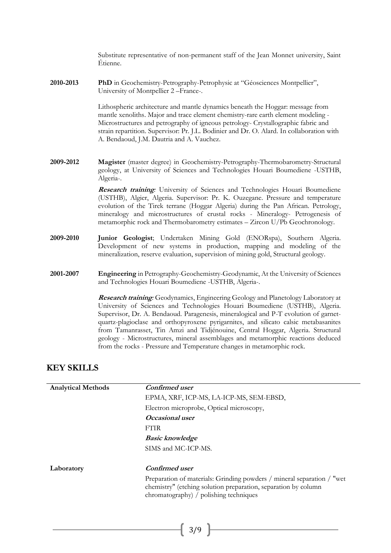Substitute representative of non-permanent staff of the Jean Monnet university, Saint É tienne.

**2010-2013 PhD** in Geochemistry-Petrography-Petrophysic at "Géosciences Montpellier", University of Montpellier 2 –France-.

> Lithospheric architecture and mantle dynamics beneath the Hoggar: message from mantle xenoliths. Major and trace element chemistry-rare earth element modeling - Microstructures and petrography of igneous petrology- Crystallographic fabric and strain repartition. Supervisor: Pr. J.L. Bodinier and Dr. O. Alard. In collaboration with A. Bendaoud, J.M. Dautria and A. Vauchez.

**2009-2012 Magister** (master degree) in Geochemistry-Petrography-Thermobarometry-Structural geology, at University of Sciences and Technologies Houari Boumediene -USTHB, Algeria-.

> **Research training***:* University of Sciences and Technologies Houari Boumediene (USTHB), Algier, Algeria. Supervisor: Pr. K. Ouzegane. Pressure and temperature evolution of the Tirek terrane (Hoggar Algeria) during the Pan African*.* Petrology, mineralogy and microstructures of crustal rocks - Mineralogy- Petrogenesis of metamorphic rock and Thermobarometry estimates – Zircon U/Pb Geochronology.

- **2009-2010 Junior Geologist**; Undertaken Mining Gold (ENORspa), Southern Algeria. Development of new systems in production, mapping and modeling of the mineralization, reserve evaluation, supervision of mining gold, Structural geology.
- **2001-2007 Engineering** in Petrography-Geochemistry-Geodynamic, At the University of Sciences and Technologies Houari Boumediene -USTHB, Algeria-.

**Research training***:* Geodynamics, Engineering Geology and Planetology Laboratory at University of Sciences and Technologies Houari Boumediene (USTHB), Algeria. Supervisor, Dr. A. Bendaoud. Paragenesis, mineralogical and P-T evolution of garnetquartz-plagioclase and orthopyroxene pyrigarnites, and silicato calsic metabasanites from Tamanrasset, Tin Amzi and Tidjénouine, Central Hoggar, Algeria. Structural geology - Microstructures, mineral assemblages and metamorphic reactions deduced from the rocks - Pressure and Temperature changes in metamorphic rock.

## **KEY SKILLS**

| <b>Analytical Methods</b> | Confirmed user                                                                                                                                                                     |
|---------------------------|------------------------------------------------------------------------------------------------------------------------------------------------------------------------------------|
|                           | EPMA, XRF, ICP-MS, LA-ICP-MS, SEM-EBSD,                                                                                                                                            |
|                           | Electron microprobe, Optical microscopy,                                                                                                                                           |
|                           | Occasional user                                                                                                                                                                    |
|                           | <b>FTIR</b>                                                                                                                                                                        |
|                           | <b>Basic knowledge</b>                                                                                                                                                             |
|                           | SIMS and MC-ICP-MS.                                                                                                                                                                |
| Laboratory                | <b>Confirmed</b> user                                                                                                                                                              |
|                           | Preparation of materials: Grinding powders / mineral separation / "wet<br>chemistry" (etching solution preparation, separation by column<br>chromatography) / polishing techniques |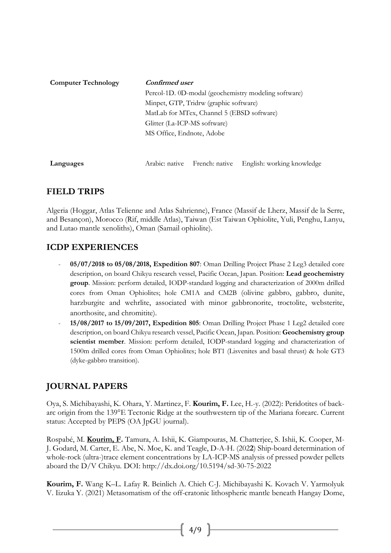| <b>Computer Technology</b> | Confirmed user<br>Percol-1D. 0D-modal (geochemistry modeling software)<br>Minpet, GTP, Tridrw (graphic software) |                               |                            |
|----------------------------|------------------------------------------------------------------------------------------------------------------|-------------------------------|----------------------------|
|                            |                                                                                                                  |                               |                            |
|                            |                                                                                                                  |                               |                            |
|                            | MatLab for MTex, Channel 5 (EBSD software)                                                                       |                               |                            |
|                            | Glitter (La-ICP-MS software)<br>MS Office, Endnote, Adobe                                                        |                               |                            |
|                            |                                                                                                                  |                               |                            |
|                            |                                                                                                                  |                               |                            |
| Languages                  |                                                                                                                  | Arabic: native French: native | English: working knowledge |
|                            |                                                                                                                  |                               |                            |

# **FIELD TRIPS**

Algeria (Hoggar, Atlas Telienne and Atlas Sahrienne), France (Massif de Lherz, Massif de la Serre, and Besançon), Morocco (Rif, middle Atlas), Taiwan (Est Taiwan Ophiolite, Yuli, Penghu, Lanyu, and Lutao mantle xenoliths), Oman (Samail ophiolite).

# **ICDP EXPERIENCES**

- **05/07/2018 to 05/08/2018, Expedition 807**: Oman Drilling Project Phase 2 Leg3 detailed core description, on board Chikyu research vessel, Pacific Ocean, Japan. Position: **Lead geochemistry group**. Mission: perform detailed, IODP-standard logging and characterization of 2000m drilled cores from Oman Ophiolites; hole CM1A and CM2B (olivine gabbro, gabbro, dunite, harzburgite and wehrlite, associated with minor gabbronorite, troctolite, websterite, anorthosite, and chromitite).
- **15/08/2017 to 15/09/2017, Expedition 805**: Oman Drilling Project Phase 1 Leg2 detailed core description, on board Chikyu research vessel, Pacific Ocean, Japan. Position: **Geochemistry group scientist member**. Mission: perform detailed, IODP-standard logging and characterization of 1500m drilled cores from Oman Ophiolites; hole BT1 (Lisvenites and basal thrust) & hole GT3 (dyke-gabbro transition).

# **JOURNAL PAPERS**

Oya, S. Michibayashi, K. Ohara, Y. Martinez, F. **Kourim, F.** Lee, H.-y. (2022): Peridotites of backarc origin from the 139°E Tectonic Ridge at the southwestern tip of the Mariana forearc. Current status: Accepted by PEPS (OA JpGU journal).

Rospabé, M. **Kourim, F.** Tamura, A. Ishii, K. Giampouras, M. Chatterjee, S. Ishii, K. Cooper, M-J. Godard, M. Carter, E. Abe, N. Moe, K. and Teagle, D-A-H. (202**2**) Ship-board determination of whole-rock (ultra-)trace element concentrations by LA-ICP-MS analysis of pressed powder pellets aboard the D/V Chikyu. DOI:<http://dx.doi.org/10.5194/sd-30-75-2022>

**Kourim, F.** Wang K–L. Lafay R. Beinlich A. Chieh C-J. Michibayashi K. Kovach V. Yarmolyuk V. Iizuka Y. (2021) Metasomatism of the off-cratonic lithospheric mantle beneath Hangay Dome,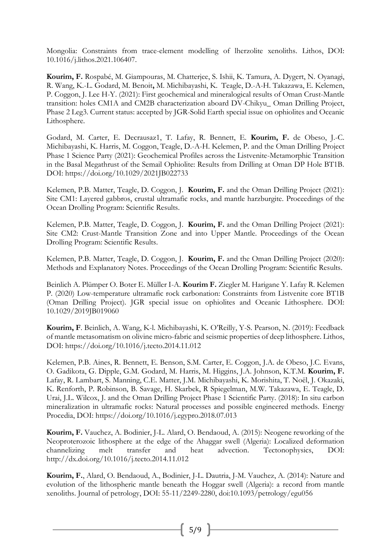Mongolia: Constraints from trace-element modelling of lherzolite xenoliths. Lithos, DOI: [10.1016/j.lithos.2021.106407.](http://dx.doi.org/10.1016/j.lithos.2021.106407)

**Kourim, F.** Rospabé, M. Giampouras, M. Chatterjee, S. Ishii, K. Tamura, A. Dygert, N. Oyanagi, R. Wang, K.-L. Godard, M. Benoit**,** M. Michibayashi, K. Teagle, D.-A-H. Takazawa, E. Kelemen, P. Coggon, J. Lee H-Y. (2021): First geochemical and mineralogical results of Oman Crust-Mantle transition: holes CM1A and CM2B characterization aboard DV-Chikyu\_ Oman Drilling Project, Phase 2 Leg3. Current status: accepted by JGR-Solid Earth special issue on ophiolites and Oceanic Lithosphere.

Godard, M. Carter, E. Decrausaz1, T. Lafay, R. Bennett, E. **Kourim, F.** de Obeso, J.-C. Michibayashi, K. Harris, M. Coggon, Teagle, D.-A-H. Kelemen, P. and the Oman Drilling Project Phase 1 Science Party (2021): Geochemical Profiles across the Listvenite-Metamorphic Transition in the Basal Megathrust of the Semail Ophiolite: Results from Drilling at Oman DP Hole BT1B. DOI:<https://doi.org/10.1029/2021JB022733>

Kelemen, P.B. Matter, Teagle, D. Coggon, J. **Kourim, F.** and the Oman Drilling Project (2021): Site CM1: Layered gabbros, crustal ultramafic rocks, and mantle harzburgite. Proceedings of the Ocean Drolling Program: Scientific Results.

Kelemen, P.B. Matter, Teagle, D. Coggon, J. **Kourim, F.** and the Oman Drilling Project (2021): Site CM2: Crust-Mantle Transition Zone and into Upper Mantle. Proceedings of the Ocean Drolling Program: Scientific Results.

Kelemen, P.B. Matter, Teagle, D. Coggon, J. **Kourim, F.** and the Oman Drilling Project (2020): Methods and Explanatory Notes. Proceedings of the Ocean Drolling Program: Scientific Results.

Beinlich A. Plümper O. Boter E. Müller I-A. **Kourim F.** Ziegler M. Harigane Y. Lafay R. Kelemen P. (2020) Low-temperature ultramafic rock carbonation: Constraints from Listvenite core BT1B (Oman Drilling Project). JGR special issue on ophiolites and Oceanic Lithosphere. DOI: 10.1029/2019JB019060

**Kourim, F**. Beinlich, A. Wang, K-l. Michibayashi, K. O'Reilly, Y-S. Pearson, N. (2019): Feedback of mantle metasomatism on olivine micro-fabric and seismic properties of deep lithosphere. Lithos, DOI: <https://doi.org/10.1016/j.tecto.2014.11.012>

Kelemen, P.B. Aines, R. Bennett, E. Benson, S.M. Carter, E. Coggon, J.A. de Obeso, J.C. Evans, O. Gadikota, G. Dipple, G.M. Godard, M. Harris, M. Higgins, J.A. Johnson, K.T.M. **Kourim, F.**  Lafay, R. Lambart, S. Manning, C.E. Matter, J.M. Michibayashi, K. Morishita, T. Noël, J. Okazaki, K. Renforth, P. Robinson, B. Savage, H. Skarbek, R Spiegelman, M.W. Takazawa, E. Teagle, D. Urai, J.L. Wilcox, J. and the Oman Drilling Project Phase 1 Scientific Party. (2018): In situ carbon mineralization in ultramafic rocks: Natural processes and possible engineered methods. Energy Procedia, DOI:<https://doi.org/10.1016/j.egypro.2018.07.013>

**Kourim, F.** Vauchez, A. Bodinier, J-L. Alard, O. Bendaoud, A. (2015): Neogene reworking of the Neoproterozoic lithosphere at the edge of the Ahaggar swell (Algeria): Localized deformation channelizing melt transfer and heat advection. Tectonophysics, DOI: <http://dx.doi.org/10.1016/j.tecto.2014.11.012>

**Kourim, F.**, Alard, O. Bendaoud, A., Bodinier, J-L. Dautria, J-M. Vauchez, A. (2014): Nature and evolution of the lithospheric mantle beneath the Hoggar swell (Algeria): a record from mantle xenoliths. Journal of petrology, DOI: 55-11/2249-2280, doi:10.1093/petrology/egu056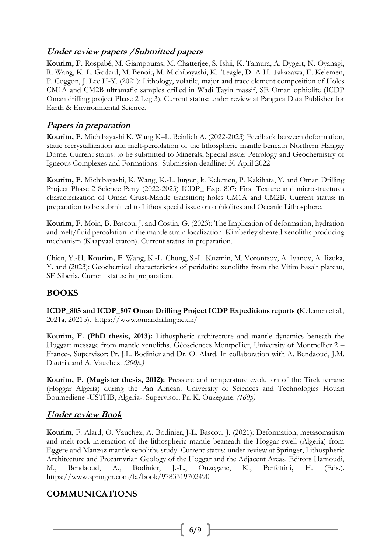## **Under review papers /Submitted papers**

**Kourim, F.** Rospabé, M. Giampouras, M. Chatterjee, S. Ishii, K. Tamura, A. Dygert, N. Oyanagi, R. Wang, K.-L. Godard, M. Benoit**,** M. Michibayashi, K. Teagle, D.-A-H. Takazawa, E. Kelemen, P. Coggon, J. Lee H-Y. (2021): Lithology, volatile, major and trace element composition of Holes CM1A and CM2B ultramafic samples drilled in Wadi Tayin massif, SE Oman ophiolite (ICDP Oman drilling project Phase 2 Leg 3). Current status: under review at Pangaea Data Publisher for Earth & Environmental Science.

## **Papers in preparation**

**Kourim, F.** Michibayashi K. Wang K–L. Beinlich A. (2022-2023) Feedback between deformation, static recrystallization and melt-percolation of the lithospheric mantle beneath Northern Hangay Dome. Current status: to be submitted to Minerals, Special issue: Petrology and Geochemistry of Igneous Complexes and Formations.Submission deadline: 30 April 2022

**Kourim, F.** Michibayashi, K. Wang, K.-L. Jürgen, k. Kelemen, P. Kakihata, Y. and Oman Drilling Project Phase 2 Science Party (2022-2023) ICDP\_ Exp. 807: First Texture and microstructures characterization of Oman Crust-Mantle transition; holes CM1A and CM2B. Current status: in preparation to be submitted to Lithos special issue on ophiolites and Oceanic Lithosphere.

**Kourim, F.** Moin, B. Bascou, J. and Costin, G. (2023): The Implication of deformation, hydration and melt/fluid percolation in the mantle strain localization: Kimberley sheared xenoliths producing mechanism (Kaapvaal craton). Current status: in preparation.

Chien, Y.-H. **Kourim, F**. Wang, K.-L. Chung, S.-L. Kuzmin, M. Vorontsov, A. Ivanov, A. Iizuka, Y. and (2023): Geochemical characteristics of peridotite xenoliths from the Vitim basalt plateau, SE Siberia. Current status: in preparation.

# **BOOKS**

**ICDP\_805 and ICDP\_807 Oman Drilling Project ICDP Expeditions reports (**Kelemen et al., 2021a, 2021b). https://www.omandrilling.ac.uk/

**Kourim, F. (PhD thesis, 2013):** Lithospheric architecture and mantle dynamics beneath the Hoggar: message from mantle xenoliths. Géosciences Montpellier, University of Montpellier 2 – France-. Supervisor: Pr. J.L. Bodinier and Dr. O. Alard. In collaboration with A. Bendaoud, J.M. Dautria and A. Vauchez. *(200p.)*

**Kourim, F. (Magister thesis, 2012):** Pressure and temperature evolution of the Tirek terrane (Hoggar Algeria) during the Pan African*.* University of Sciences and Technologies Houari Boumediene -USTHB, Algeria-. Supervisor: Pr. K. Ouzegane. *(160p)*

# **Under review Book**

**Kourim**, F. Alard, O. Vauchez, A. Bodinier, J-L. Bascou, J. (2021): Deformation, metasomatism and melt-rock interaction of the lithospheric mantle beaneath the Hoggar swell (Algeria) from Eggéré and Manzaz mantle xenoliths study. Current status: under review at Springer, Lithospheric Architecture and Precamvrian Geology of the Hoggar and the Adjacent Areas. Editors Hamoudi, M., Bendaoud, A., Bodinier, J.-L., Ouzegane, K., Perfettini**,** H. (Eds.). <https://www.springer.com/la/book/9783319702490>

# **COMMUNICATIONS**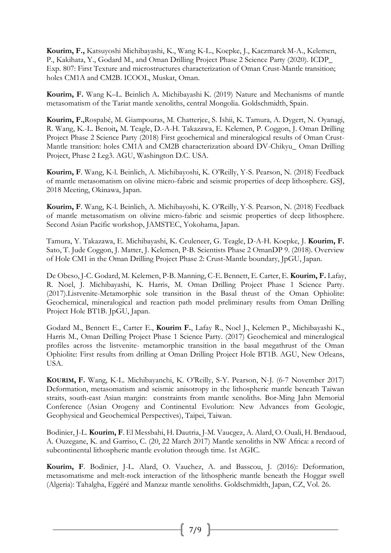**Kourim, F.,** Katsuyoshi Michibayashi, K., Wang K-L., Koepke, J., Kaczmarek M-A., Kelemen, P., Kakihata, Y., Godard M., and Oman Drilling Project Phase 2 Science Party (2020). ICDP\_ Exp. 807: First Texture and microstructures characterization of Oman Crust-Mantle transition; holes CM1A and CM2B. ICOOL, Muskat, Oman.

**Kourim, F.** Wang K–L. Beinlich A**.** Michibayashi K. (2019) Nature and Mechanisms of mantle metasomatism of the Tariat mantle xenoliths, central Mongolia. Goldschmidth, Spain.

**Kourim, F.,**Rospabé, M. Giampouras, M. Chatterjee, S. Ishii, K. Tamura, A. Dygert, N. Oyanagi, R. Wang, K.-L. Benoit**,** M. Teagle, D.-A-H. Takazawa, E. Kelemen, P. Coggon, J. Oman Drilling Project Phase 2 Science Party (2018) First geochemical and mineralogical results of Oman Crust-Mantle transition: holes CM1A and CM2B characterization aboard DV-Chikyu\_ Oman Drilling Project, Phase 2 Leg3. AGU, Washington D.C. USA.

**Kourim, F**. Wang, K-l. Beinlich, A. Michibayoshi, K. O'Reilly, Y-S. Pearson, N. (2018) Feedback of mantle metasomatism on olivine micro-fabric and seismic properties of deep lithosphere. GSJ, 2018 Meeting, Okinawa, Japan.

**Kourim, F**. Wang, K-l. Beinlich, A. Michibayoshi, K. O'Reilly, Y-S. Pearson, N. (2018) Feedback of mantle metasomatism on olivine micro-fabric and seismic properties of deep lithosphere. Second Asian Pacific workshop, JAMSTEC, Yokohama, Japan.

Tamura, Y. Takazawa, E. Michibayashi, K. Ceuleneer, G. Teagle, D-A-H. Koepke, J. **Kourim, F.** Sato, T. Jude Coggon, J. Matter, J. Kelemen, P-B. Scientists Phase 2 OmanDP 9. (2018). Overview of Hole CM1 in the Oman Drilling Project Phase 2: Crust-Mantle boundary, JpGU, Japan.

De Obeso, J-C. Godard, M. Kelemen, P-B. Manning, C-E. Bennett, E. Carter, E. **Kourim, F.** Lafay, R. Noel, J. Michibayashi, K. Harris, M. Oman Drilling Project Phase 1 Science Party. (2017).Listvenite-Metamorphic sole transition in the Basal thrust of the Oman Ophiolite: Geochemical, mineralogical and reaction path model preliminary results from Oman Drilling Project Hole BT1B. JpGU, Japan.

Godard M., Bennett E., Carter E., **Kourim F.**, Lafay R., Noel J., Kelemen P., Michibayashi K., Harris M., Oman Drilling Project Phase 1 Science Party. (2017) Geochemical and mineralogical profiles across the listvenite- metamorphic transition in the basal megathrust of the Oman Ophiolite: First results from drilling at Oman Drilling Project Hole BT1B. AGU, New Orleans, USA.

**KOURIM, F.** Wang, K-L. Michibayanchi, K. O'Reilly, S-Y. Pearson, N-J. (6-7 November 2017) Deformation, metasomatism and seismic anisotropy in the lithospheric mantle beneath Taiwan straits, south-east Asian margin: constraints from mantle xenoliths. Bor-Ming Jahn Memorial Conference (Asian Orogeny and Continental Evolution: New Advances from Geologic, Geophysical and Geochemical Perspectives), Taipei, Taiwan.

Bodinier, J-L. **Kourim, F**. El Messbahi, H. Dautria, J-M. Vaucgez, A. Alard, O. Ouali, H. Brndaoud, A. Ouzegane, K. and Garriso, C. (20, 22 March 2017) Mantle xenoliths in NW Africa: a record of subcontinental lithospheric mantle evolution through time. 1st AGIC.

**Kourim, F**. Bodinier, J-L. Alard, O. Vauchez, A. and Basscou, J. (2016): Deformation, metasomatisme and melt-rock interaction of the lithospheric mantle beneath the Hoggar swell (Algeria): Tahalgha, Eggéré and Manzaz mantle xenoliths. Goldschmidth, Japan, CZ, Vol. 26.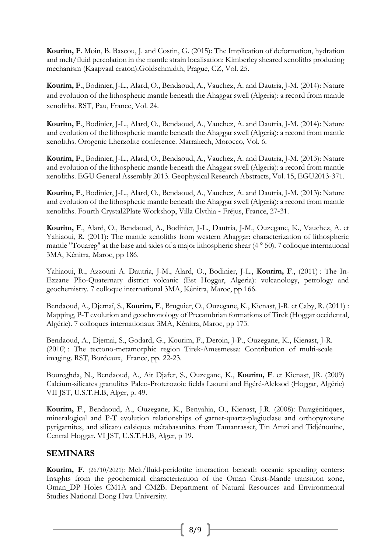**Kourim, F**. Moin, B. Bascou, J. and Costin, G. (2015): The Implication of deformation, hydration and melt/fluid percolation in the mantle strain localisation: Kimberley sheared xenoliths producing mechanism (Kaapvaal craton).Goldschmidth, Prague, CZ, Vol. 25.

**Kourim, F**., Bodinier, J-L., Alard, O., Bendaoud, A., Vauchez, A. and Dautria, J-M. (2014): Nature and evolution of the lithospheric mantle beneath the Ahaggar swell (Algeria): a record from mantle xenoliths. RST, Pau, France, Vol. 24.

**Kourim, F**., Bodinier, J-L., Alard, O., Bendaoud, A., Vauchez, A. and Dautria, J-M. (2014): Nature and evolution of the lithospheric mantle beneath the Ahaggar swell (Algeria): a record from mantle xenoliths. Orogenic Lherzolite conference. Marrakech, Morocco, Vol. 6.

**Kourim, F**., Bodinier, J-L., Alard, O., Bendaoud, A., Vauchez, A. and Dautria, J-M. (2013): Nature and evolution of the lithospheric mantle beneath the Ahaggar swell (Algeria): a record from mantle xenoliths. EGU General Assembly 2013. Geophysical Research Abstracts, Vol. 15, EGU2013-371.

**Kourim, F**., Bodinier, J-L., Alard, O., Bendaoud, A., Vauchez, A. and Dautria, J-M. (2013): Nature and evolution of the lithospheric mantle beneath the Ahaggar swell (Algeria): a record from mantle xenoliths. Fourth Crystal2Plate Workshop, Villa Clythia ‐ Fréjus, France, 27‐31.

**Kourim, F**., Alard, O., Bendaoud, A., Bodinier, J-L., Dautria, J-M., Ouzegane, K., Vauchez, A. et Yahiaoui, R. (2011): The mantle xenoliths from western Ahaggar: characterization of lithospheric mantle "Touareg" at the base and sides of a major lithospheric shear (4 ° 50). 7 colloque international 3MA, Kénitra, Maroc, pp 186.

Yahiaoui, R., Azzouni A. Dautria, J-M., Alard, O., Bodinier, J-L., **Kourim, F**., (2011) : The In-Ezzane Plio-Quaternary district volcanic (Est Hoggar, Algeria): volcanology, petrology and geochemistry. 7 colloque international 3MA, Kénitra, Maroc, pp 166.

Bendaoud, A., Djemaï, S., **Kourim, F**., Bruguier, O., Ouzegane, K., Kienast, J-R. et Caby, R. (2011) : Mapping, P-T evolution and geochronology of Precambrian formations of Tirek (Hoggar occidental, Algérie). 7 colloques internationaux 3MA, Kénitra, Maroc, pp 173.

Bendaoud, A., Djemai, S., Godard, G., Kourim, F., Deroin, J-P., Ouzegane, K., Kienast, J-R. (2010) : The tectono-metamorphic region Tirek-Amesmessa: Contribution of multi-scale imaging. RST, Bordeaux, France, pp. 22-23.

Boureghda, N., Bendaoud, A., Ait Djafer, S., Ouzegane, K., **Kourim, F**. et Kienast, JR. (2009) Calcium-silicates granulites Paleo-Proterozoic fields Laouni and Egéré-Aleksod (Hoggar, Algérie) VII JST, U.S.T.H.B, Alger, p. 49.

**Kourim, F**., Bendaoud, A., Ouzegane, K., Benyahia, O., Kienast, J.R. (2008): Paragénitiques, mineralogical and P-T evolution relationships of garnet-quartz-plagioclase and orthopyroxene pyrigarnites, and silicato calsiques métabasanites from Tamanrasset, Tin Amzi and Tidjénouine, Central Hoggar. VI JST, U.S.T.H.B, Alger, p 19.

## **SEMINARS**

**Kourim, F**. (26/10/2021): Melt/fluid-peridotite interaction beneath oceanic spreading centers: Insights from the geochemical characterization of the Oman Crust-Mantle transition zone, Oman DP Holes CM1A and CM2B. Department of Natural Resources and Environmental Studies National Dong Hwa University.